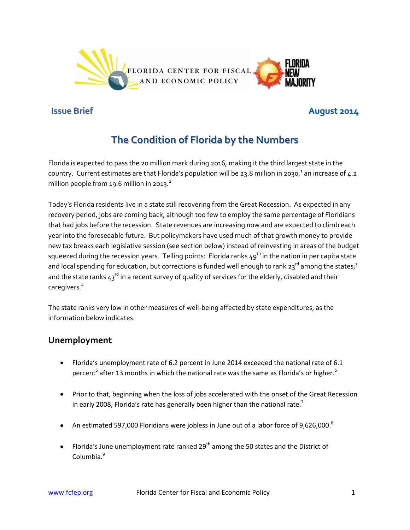

# **Issue Brief August 2014**

# **The Condition of Florida by the Numbers**

Florida is expected to pass the 20 million mark during 2016, making it the third largest state in the country. Current estimates are that Florida's population will be 23.8 million in 2030, $^1$  an increase of 4.2 million people from 19.6 million in 2013. $^{2}$ 

Today's Florida residents live in a state still recovering from the Great Recession. As expected in any recovery period, jobs are coming back, although too few to employ the same percentage of Floridians that had jobs before the recession. State revenues are increasing now and are expected to climb each year into the foreseeable future. But policymakers have used much of that growth money to provide new tax breaks each legislative session (see section below) instead of reinvesting in areas of the budget squeezed during the recession years. Telling points: Florida ranks  $49<sup>th</sup>$  in the nation in per capita state and local spending for education, but corrections is funded well enough to rank  $23^{rd}$  among the states;<sup>3</sup> and the state ranks  $43^{\text{rd}}$  in a recent survey of quality of services for the elderly, disabled and their caregivers.<sup>4</sup>

The state ranks very low in other measures of well-being affected by state expenditures, as the information below indicates.

# **Unemployment**

- Florida's unemployment rate of 6.2 percent in June 2014 exceeded the national rate of 6.1 percent<sup>5</sup> after 13 months in which the national rate was the same as Florida's or higher.<sup>6</sup>
- Prior to that, beginning when the loss of jobs accelerated with the onset of the Great Recession in early 2008, Florida's rate has generally been higher than the national rate.<sup>7</sup>
- An estimated 597,000 Floridians were jobless in June out of a labor force of 9,626,000. $^8$
- Florida's June unemployment rate ranked 29<sup>th</sup> among the 50 states and the District of Columbia.<sup>9</sup>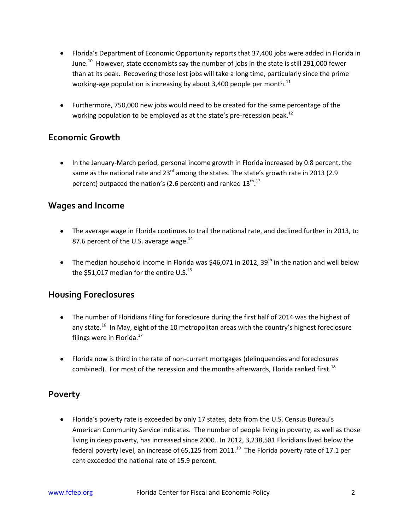- Florida's Department of Economic Opportunity reports that 37,400 jobs were added in Florida in June. $^{10}$  However, state economists say the number of jobs in the state is still 291,000 fewer than at its peak. Recovering those lost jobs will take a long time, particularly since the prime working-age population is increasing by about 3,400 people per month.<sup>11</sup>
- Furthermore, 750,000 new jobs would need to be created for the same percentage of the working population to be employed as at the state's pre-recession peak.<sup>12</sup>

# **Economic Growth**

• In the January-March period, personal income growth in Florida increased by 0.8 percent, the same as the national rate and 23 $^{rd}$  among the states. The state's growth rate in 2013 (2.9 percent) outpaced the nation's (2.6 percent) and ranked 13<sup>th</sup>.<sup>13</sup>

### **Wages and Income**

- The average wage in Florida continues to trail the national rate, and declined further in 2013, to 87.6 percent of the U.S. average wage. $^{14}$
- The median household income in Florida was \$46,071 in 2012, 39<sup>th</sup> in the nation and well below the \$51,017 median for the entire U.S. $^{15}$

#### **Housing Foreclosures**

- The number of Floridians filing for foreclosure during the first half of 2014 was the highest of any state.<sup>16</sup> In May, eight of the 10 metropolitan areas with the country's highest foreclosure filings were in Florida. $^{17}$
- Florida now is third in the rate of non-current mortgages (delinquencies and foreclosures combined). For most of the recession and the months afterwards, Florida ranked first.<sup>18</sup>

#### **Poverty**

Florida's poverty rate is exceeded by only 17 states, data from the U.S. Census Bureau's American Community Service indicates. The number of people living in poverty, as well as those living in deep poverty, has increased since 2000. In 2012, 3,238,581 Floridians lived below the federal poverty level, an increase of 65,125 from 2011.<sup>19</sup> The Florida poverty rate of 17.1 per cent exceeded the national rate of 15.9 percent.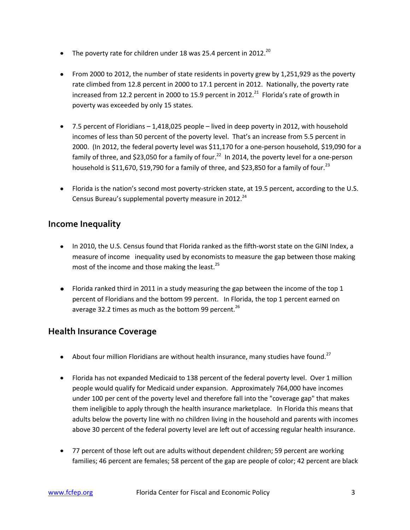- The poverty rate for children under 18 was 25.4 percent in 2012.<sup>20</sup>
- From 2000 to 2012, the number of state residents in poverty grew by 1,251,929 as the poverty rate climbed from 12.8 percent in 2000 to 17.1 percent in 2012. Nationally, the poverty rate increased from 12.2 percent in 2000 to 15.9 percent in 2012.<sup>21</sup> Florida's rate of growth in poverty was exceeded by only 15 states.
- 7.5 percent of Floridians 1,418,025 people lived in deep poverty in 2012, with household incomes of less than 50 percent of the poverty level. That's an increase from 5.5 percent in 2000. (In 2012, the federal poverty level was \$11,170 for a one-person household, \$19,090 for a family of three, and \$23,050 for a family of four.<sup>22</sup> In 2014, the poverty level for a one-person household is \$11,670, \$19,790 for a family of three, and \$23,850 for a family of four.<sup>23</sup>
- Florida is the nation's second most poverty-stricken state, at 19.5 percent, according to the U.S. Census Bureau's supplemental poverty measure in 2012.<sup>24</sup>

### **Income Inequality**

- In 2010, the U.S. Census found that Florida ranked as the fifth-worst state on the GINI Index, a measure of income inequality used by economists to measure the gap between those making most of the income and those making the least. $^{25}$
- Florida ranked third in 2011 in a study measuring the gap between the income of the top 1 percent of Floridians and the bottom 99 percent. In Florida, the top 1 percent earned on average 32.2 times as much as the bottom 99 percent.<sup>26</sup>

# **Health Insurance Coverage**

- About four million Floridians are without health insurance, many studies have found.<sup>27</sup>
- Florida has not expanded Medicaid to 138 percent of the federal poverty level. Over 1 million people would qualify for Medicaid under expansion. Approximately 764,000 have incomes under 100 per cent of the poverty level and therefore fall into the "coverage gap" that makes them ineligible to apply through the health insurance marketplace. In Florida this means that adults below the poverty line with no children living in the household and parents with incomes above 30 percent of the federal poverty level are left out of accessing regular health insurance.
- 77 percent of those left out are adults without dependent children; 59 percent are working families; 46 percent are females; 58 percent of the gap are people of color; 42 percent are black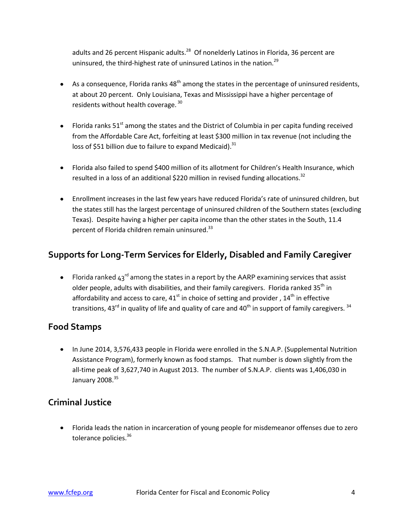adults and 26 percent Hispanic adults.<sup>28</sup> Of nonelderly Latinos in Florida, 36 percent are uninsured, the third-highest rate of uninsured Latinos in the nation.<sup>29</sup>

- As a consequence, Florida ranks  $48<sup>th</sup>$  among the states in the percentage of uninsured residents, at about 20 percent. Only Louisiana, Texas and Mississippi have a higher percentage of residents without health coverage. <sup>30</sup>
- Florida ranks  $51^{st}$  among the states and the District of Columbia in per capita funding received from the Affordable Care Act, forfeiting at least \$300 million in tax revenue (not including the loss of \$51 billion due to failure to expand Medicaid).<sup>31</sup>
- Florida also failed to spend \$400 million of its allotment for Children's Health Insurance, which resulted in a loss of an additional \$220 million in revised funding allocations.<sup>32</sup>
- Enrollment increases in the last few years have reduced Florida's rate of uninsured children, but the states still has the largest percentage of uninsured children of the Southern states (excluding Texas). Despite having a higher per capita income than the other states in the South, 11.4 percent of Florida children remain uninsured. $^{33}$

# **Supports for Long-Term Services for Elderly, Disabled and Family Caregiver**

Florida ranked  $43^{\text{rd}}$  among the states in a report by the AARP examining services that assist older people, adults with disabilities, and their family caregivers. Florida ranked 35<sup>th</sup> in affordability and access to care,  $41<sup>st</sup>$  in choice of setting and provider,  $14<sup>th</sup>$  in effective transitions, 43<sup>rd</sup> in quality of life and quality of care and 40<sup>th</sup> in support of family caregivers.  $34$ 

# **Food Stamps**

• In June 2014, 3,576,433 people in Florida were enrolled in the S.N.A.P. (Supplemental Nutrition Assistance Program), formerly known as food stamps. That number is down slightly from the all-time peak of 3,627,740 in August 2013. The number of S.N.A.P. clients was 1,406,030 in January  $2008.<sup>35</sup>$ 

# **Criminal Justice**

Florida leads the nation in incarceration of young people for misdemeanor offenses due to zero tolerance policies.<sup>36</sup>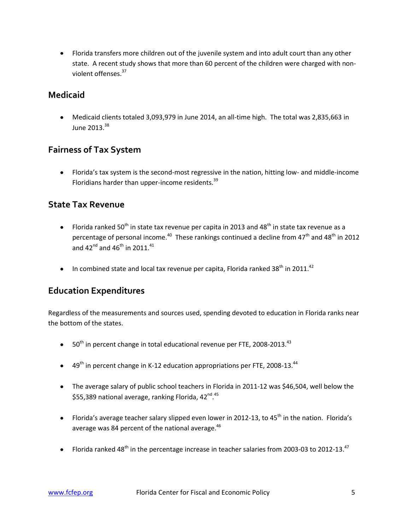Florida transfers more children out of the juvenile system and into adult court than any other state. A recent study shows that more than 60 percent of the children were charged with nonviolent offenses.<sup>37</sup>

#### **Medicaid**

Medicaid clients totaled 3,093,979 in June 2014, an all-time high. The total was 2,835,663 in June 2013. 38

#### **Fairness of Tax System**

Florida's tax system is the second-most regressive in the nation, hitting low- and middle-income Floridians harder than upper-income residents.<sup>39</sup>

#### **State Tax Revenue**

- Florida ranked 50<sup>th</sup> in state tax revenue per capita in 2013 and 48<sup>th</sup> in state tax revenue as a percentage of personal income.<sup>40</sup> These rankings continued a decline from 47<sup>th</sup> and 48<sup>th</sup> in 2012 and 42<sup>nd</sup> and 46<sup>th</sup> in 2011.<sup>41</sup>
- In combined state and local tax revenue per capita, Florida ranked 38<sup>th</sup> in 2011.<sup>42</sup>

#### **Education Expenditures**

Regardless of the measurements and sources used, spending devoted to education in Florida ranks near the bottom of the states.

- $\bullet$  50<sup>th</sup> in percent change in total educational revenue per FTE, 2008-2013.<sup>43</sup>
- $49<sup>th</sup>$  in percent change in K-12 education appropriations per FTE, 2008-13.<sup>44</sup>
- The average salary of public school teachers in Florida in 2011-12 was \$46,504, well below the \$55,389 national average, ranking Florida, 42<sup>nd</sup>.<sup>45</sup>
- Florida's average teacher salary slipped even lower in 2012-13, to 45<sup>th</sup> in the nation. Florida's average was 84 percent of the national average.<sup>46</sup>
- Florida ranked 48<sup>th</sup> in the percentage increase in teacher salaries from 2003-03 to 2012-13.<sup>47</sup>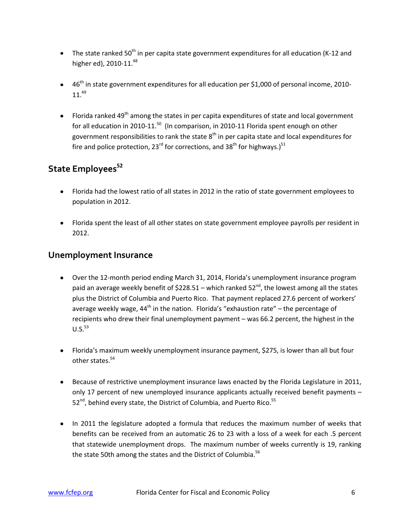- $\bullet$  The state ranked 50<sup>th</sup> in per capita state government expenditures for all education (K-12 and higher ed), 2010-11.<sup>48</sup>
- 46<sup>th</sup> in state government expenditures for all education per \$1,000 of personal income, 2010- $11.<sup>49</sup>$
- Florida ranked 49<sup>th</sup> among the states in per capita expenditures of state and local government for all education in 2010-11.<sup>50</sup> (In comparison, in 2010-11 Florida spent enough on other government responsibilities to rank the state  $8^{\text{th}}$  in per capita state and local expenditures for fire and police protection, 23<sup>rd</sup> for corrections, and 38<sup>th</sup> for highways.)<sup>51</sup>

# **State Employees<sup>52</sup>**

- Florida had the lowest ratio of all states in 2012 in the ratio of state government employees to population in 2012.
- Florida spent the least of all other states on state government employee payrolls per resident in 2012.

#### **Unemployment Insurance**

- Over the 12-month period ending March 31, 2014, Florida's unemployment insurance program paid an average weekly benefit of  $$228.51$  – which ranked  $52<sup>nd</sup>$ , the lowest among all the states plus the District of Columbia and Puerto Rico. That payment replaced 27.6 percent of workers' average weekly wage, 44<sup>th</sup> in the nation. Florida's "exhaustion rate" – the percentage of recipients who drew their final unemployment payment – was 66.2 percent, the highest in the  $U.S.<sup>53</sup>$
- Florida's maximum weekly unemployment insurance payment, \$275, is lower than all but four other states.<sup>54</sup>
- **Because of restrictive unemployment insurance laws enacted by the Florida Legislature in 2011,** only 17 percent of new unemployed insurance applicants actually received benefit payments – 52<sup>nd</sup>, behind every state, the District of Columbia, and Puerto Rico.<sup>55</sup>
- In 2011 the legislature adopted a formula that reduces the maximum number of weeks that benefits can be received from an automatic 26 to 23 with a loss of a week for each .5 percent that statewide unemployment drops. The maximum number of weeks currently is 19, ranking the state 50th among the states and the District of Columbia.<sup>56</sup>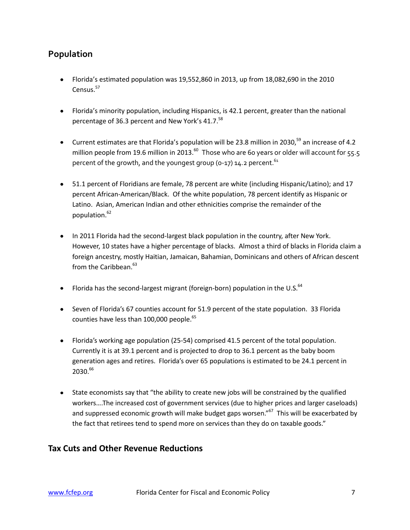# **Population**

- Florida's estimated population was 19,552,860 in 2013, up from 18,082,690 in the 2010 Census.<sup>57</sup>
- Florida's minority population, including Hispanics, is 42.1 percent, greater than the national percentage of 36.3 percent and New York's 41.7.<sup>58</sup>
- Current estimates are that Florida's population will be 23.8 million in 2030,<sup>59</sup> an increase of 4.2 million people from 19.6 million in 2013. $^{60}$  Those who are 60 years or older will account for 55.5 percent of the growth, and the youngest group (0-17) 14.2 percent.  $61$
- 51.1 percent of Floridians are female, 78 percent are white (including Hispanic/Latino); and 17 percent African-American/Black. Of the white population, 78 percent identify as Hispanic or Latino. Asian, American Indian and other ethnicities comprise the remainder of the population.<sup>62</sup>
- In 2011 Florida had the second-largest black population in the country, after New York. However, 10 states have a higher percentage of blacks. Almost a third of blacks in Florida claim a foreign ancestry, mostly Haitian, Jamaican, Bahamian, Dominicans and others of African descent from the Caribbean.<sup>63</sup>
- Florida has the second-largest migrant (foreign-born) population in the U.S. $^{64}$
- Seven of Florida's 67 counties account for 51.9 percent of the state population. 33 Florida counties have less than 100,000 people.<sup>65</sup>
- Florida's working age population (25-54) comprised 41.5 percent of the total population. Currently it is at 39.1 percent and is projected to drop to 36.1 percent as the baby boom generation ages and retires. Florida's over 65 populations is estimated to be 24.1 percent in 2030.66
- State economists say that "the ability to create new jobs will be constrained by the qualified workers….The increased cost of government services (due to higher prices and larger caseloads) and suppressed economic growth will make budget gaps worsen."<sup>67</sup> This will be exacerbated by the fact that retirees tend to spend more on services than they do on taxable goods."

#### **Tax Cuts and Other Revenue Reductions**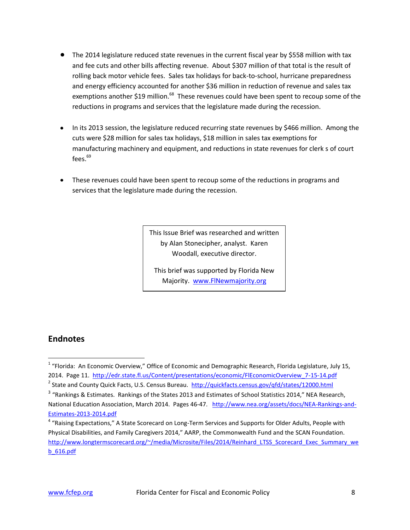- The 2014 legislature reduced state revenues in the current fiscal year by \$558 million with tax and fee cuts and other bills affecting revenue. About \$307 million of that total is the result of rolling back motor vehicle fees. Sales tax holidays for back-to-school, hurricane preparedness and energy efficiency accounted for another \$36 million in reduction of revenue and sales tax exemptions another \$19 million.<sup>68</sup> These revenues could have been spent to recoup some of the reductions in programs and services that the legislature made during the recession.
- In its 2013 session, the legislature reduced recurring state revenues by \$466 million. Among the cuts were \$28 million for sales tax holidays, \$18 million in sales tax exemptions for manufacturing machinery and equipment, and reductions in state revenues for clerk s of court fees. $69$
- These revenues could have been spent to recoup some of the reductions in programs and services that the legislature made during the recession.

This Issue Brief was researched and written by Alan Stonecipher, analyst. Karen Woodall, executive director.

This brief was supported by Florida New Majority. [www.FlNewmajority.org](http://www.flnewmajority.org/)

#### **Endnotes**

 $\overline{\phantom{a}}$ <sup>1</sup> "Florida: An Economic Overview," Office of Economic and Demographic Research, Florida Legislature, July 15, 2014. Page 11. http://edr.state.fl.us/Content/presentations/economic/FlEconomicOverview 7-15-14.pdf <sup>2</sup> State and County Quick Facts, U.S. Census Bureau. <http://quickfacts.census.gov/qfd/states/12000.html>

 $^3$  "Rankings & Estimates. Rankings of the States 2013 and Estimates of School Statistics 2014," NEA Research, National Education Association, March 2014. Pages 46-47. [http://www.nea.org/assets/docs/NEA-Rankings-and-](http://www.nea.org/assets/docs/NEA-Rankings-and-Estimates-2013-2014.pdf)[Estimates-2013-2014.pdf](http://www.nea.org/assets/docs/NEA-Rankings-and-Estimates-2013-2014.pdf)

<sup>&</sup>lt;sup>4</sup> "Raising Expectations," A State Scorecard on Long-Term Services and Supports for Older Adults, People with Physical Disabilities, and Family Caregivers 2014," AARP, the Commonwealth Fund and the SCAN Foundation. [http://www.longtermscorecard.org/~/media/Microsite/Files/2014/Reinhard\\_LTSS\\_Scorecard\\_Exec\\_Summary\\_we](http://www.longtermscorecard.org/~/media/Microsite/Files/2014/Reinhard_LTSS_Scorecard_Exec_Summary_web_616.pdf) [b\\_616.pdf](http://www.longtermscorecard.org/~/media/Microsite/Files/2014/Reinhard_LTSS_Scorecard_Exec_Summary_web_616.pdf)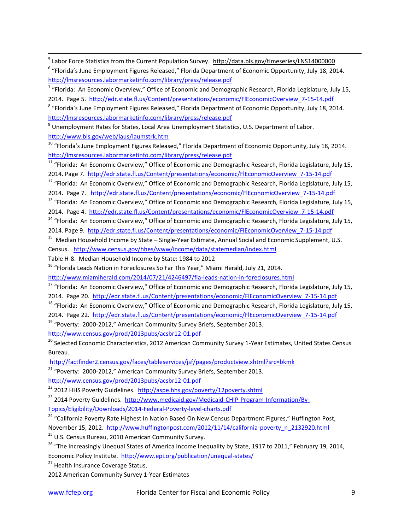<sup>5</sup> Labor Force Statistics from the Current Population Survey. <http://data.bls.gov/timeseries/LNS14000000>

| <sup>6</sup> "Florida's June Employment Figures Released," Florida Department of Economic Opportunity, July 18, 2014. |  |
|-----------------------------------------------------------------------------------------------------------------------|--|
| http://lmsresources.labormarketinfo.com/library/press/release.pdf                                                     |  |

<sup>7</sup> "Florida: An Economic Overview," Office of Economic and Demographic Research, Florida Legislature, July 15, 2014. Page 5. [http://edr.state.fl.us/Content/presentations/economic/FlEconomicOverview\\_7-15-14.pdf](http://edr.state.fl.us/Content/presentations/economic/FlEconomicOverview_7-15-14.pdf)

<sup>8</sup> "Florida's June Employment Figures Released," Florida Department of Economic Opportunity, July 18, 2014. <http://lmsresources.labormarketinfo.com/library/press/release.pdf>

<sup>9</sup> Unemployment Rates for States, Local Area Unemployment Statistics, U.S. Department of Labor. <http://www.bls.gov/web/laus/laumstrk.htm>

<sup>11</sup> "Florida: An Economic Overview," Office of Economic and Demographic Research, Florida Legislature, July 15, 2014. Page 7. [http://edr.state.fl.us/Content/presentations/economic/FlEconomicOverview\\_7-15-14.pdf](http://edr.state.fl.us/Content/presentations/economic/FlEconomicOverview_7-15-14.pdf)

<sup>12</sup> "Florida: An Economic Overview," Office of Economic and Demographic Research, Florida Legislature, July 15, 2014. Page 7. [http://edr.state.fl.us/Content/presentations/economic/FlEconomicOverview\\_7-15-14.pdf](http://edr.state.fl.us/Content/presentations/economic/FlEconomicOverview_7-15-14.pdf)

<sup>13</sup> "Florida: An Economic Overview," Office of Economic and Demographic Research, Florida Legislature, July 15, 2014. Page 4. [http://edr.state.fl.us/Content/presentations/economic/FlEconomicOverview\\_7-15-14.pdf](http://edr.state.fl.us/Content/presentations/economic/FlEconomicOverview_7-15-14.pdf)

<sup>14</sup> "Florida: An Economic Overview," Office of Economic and Demographic Research, Florida Legislature, July 15, 2014. Page 9. [http://edr.state.fl.us/Content/presentations/economic/FlEconomicOverview\\_7-15-14.pdf](http://edr.state.fl.us/Content/presentations/economic/FlEconomicOverview_7-15-14.pdf)

<sup>15</sup> Median Household Income by State – Single-Year Estimate, Annual Social and Economic Supplement, U.S. Census. <http://www.census.gov/hhes/www/income/data/statemedian/index.html>

Table H-8. Median Household Income by State: 1984 to 2012

<sup>16</sup> "Florida Leads Nation in Foreclosures So Far This Year," Miami Herald, July 21, 2014.

<http://www.miamiherald.com/2014/07/21/4246497/fla-leads-nation-in-foreclosures.html>

<sup>17</sup> "Florida: An Economic Overview," Office of Economic and Demographic Research, Florida Legislature, July 15, 2014. Page 20. [http://edr.state.fl.us/Content/presentations/economic/FlEconomicOverview\\_7-15-14.pdf](http://edr.state.fl.us/Content/presentations/economic/FlEconomicOverview_7-15-14.pdf)

<sup>18</sup> "Florida: An Economic Overview," Office of Economic and Demographic Research, Florida Legislature, July 15,

2014. Page 22. [http://edr.state.fl.us/Content/presentations/economic/FlEconomicOverview\\_7-15-14.pdf](http://edr.state.fl.us/Content/presentations/economic/FlEconomicOverview_7-15-14.pdf)

<sup>19</sup> "Poverty: 2000-2012," American Community Survey Briefs, September 2013.

<http://www.census.gov/prod/2013pubs/acsbr12-01.pdf>

<sup>20</sup> Selected Economic Characteristics, 2012 American Community Survey 1-Year Estimates, United States Census Bureau.

<http://factfinder2.census.gov/faces/tableservices/jsf/pages/productview.xhtml?src=bkmk>

 $21$  "Poverty: 2000-2012," American Community Survey Briefs, September 2013.

<http://www.census.gov/prod/2013pubs/acsbr12-01.pdf>

<sup>22</sup> 2012 HHS Poverty Guidelines. <http://aspe.hhs.gov/poverty/12poverty.shtml>

<sup>23</sup> 2014 Poverty Guidelines. [http://www.medicaid.gov/Medicaid-CHIP-Program-Information/By-](http://www.medicaid.gov/Medicaid-CHIP-Program-Information/By-Topics/Eligibility/Downloads/2014-Federal-Poverty-level-charts.pdf)

[Topics/Eligibility/Downloads/2014-Federal-Poverty-level-charts.pdf](http://www.medicaid.gov/Medicaid-CHIP-Program-Information/By-Topics/Eligibility/Downloads/2014-Federal-Poverty-level-charts.pdf)

<sup>24</sup> "California Poverty Rate Highest In Nation Based On New Census Department Figures," Huffington Post, November 15, 2012. [http://www.huffingtonpost.com/2012/11/14/california-poverty\\_n\\_2132920.html](http://www.huffingtonpost.com/2012/11/14/california-poverty_n_2132920.html)

<sup>25</sup> U.S. Census Bureau, 2010 American Community Survey.

<sup>26</sup> "The Increasingly Unequal States of America Income Inequality by State, 1917 to 2011," February 19, 2014, Economic Policy Institute. <http://www.epi.org/publication/unequal-states/>

<sup>27</sup> Health Insurance Coverage Status,

2012 American Community Survey 1-Year Estimates

 $\overline{\phantom{a}}$ 

<sup>&</sup>lt;sup>10</sup> "Florida's June Employment Figures Released," Florida Department of Economic Opportunity, July 18, 2014. <http://lmsresources.labormarketinfo.com/library/press/release.pdf>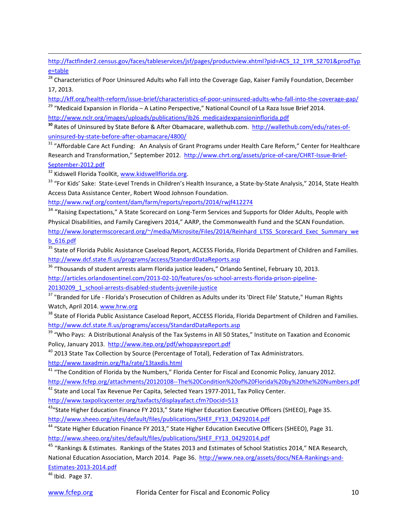[http://factfinder2.census.gov/faces/tableservices/jsf/pages/productview.xhtml?pid=ACS\\_12\\_1YR\\_S2701&prodTyp](http://factfinder2.census.gov/faces/tableservices/jsf/pages/productview.xhtml?pid=ACS_12_1YR_S2701&prodType=table) [e=table](http://factfinder2.census.gov/faces/tableservices/jsf/pages/productview.xhtml?pid=ACS_12_1YR_S2701&prodType=table)

<sup>28</sup> Characteristics of Poor Uninsured Adults who Fall into the Coverage Gap, Kaiser Family Foundation, December 17, 2013.

<http://kff.org/health-reform/issue-brief/characteristics-of-poor-uninsured-adults-who-fall-into-the-coverage-gap/> <sup>29</sup> "Medicaid Expansion in Florida – A Latino Perspective," National Council of La Raza Issue Brief 2014.

[http://www.nclr.org/images/uploads/publications/ib26\\_medicaidexpansioninflorida.pdf](http://www.nclr.org/images/uploads/publications/ib26_medicaidexpansioninflorida.pdf)

**<sup>30</sup>** Rates of Uninsured by State Before & After Obamacare, wallethub.com. [http://wallethub.com/edu/rates-of](http://wallethub.com/edu/rates-of-uninsured-by-state-before-after-obamacare/4800/)[uninsured-by-state-before-after-obamacare/4800/](http://wallethub.com/edu/rates-of-uninsured-by-state-before-after-obamacare/4800/)

<sup>31</sup> "Affordable Care Act Funding: An Analysis of Grant Programs under Health Care Reform," Center for Healthcare Research and Transformation," September 2012. [http://www.chrt.org/assets/price-of-care/CHRT-Issue-Brief-](http://www.chrt.org/assets/price-of-care/CHRT-Issue-Brief-September-2012.pdf)[September-2012.pdf](http://www.chrt.org/assets/price-of-care/CHRT-Issue-Brief-September-2012.pdf)

<sup>32</sup> Kidswell Florida ToolKit, [www.kidswellflorida.org.](http://www.kidswellflorida.org/)

 $\overline{\phantom{a}}$ 

<sup>33</sup> "For Kids' Sake: State-Level Trends in Children's Health Insurance, a State-by-State Analysis," 2014, State Health Access Data Assistance Center, Robert Wood Johnson Foundation.

<http://www.rwjf.org/content/dam/farm/reports/reports/2014/rwjf412274>

<sup>34</sup> "Raising Expectations," A State Scorecard on Long-Term Services and Supports for Older Adults, People with Physical Disabilities, and Family Caregivers 2014," AARP, the Commonwealth Fund and the SCAN Foundation. [http://www.longtermscorecard.org/~/media/Microsite/Files/2014/Reinhard\\_LTSS\\_Scorecard\\_Exec\\_Summary\\_we](http://www.longtermscorecard.org/~/media/Microsite/Files/2014/Reinhard_LTSS_Scorecard_Exec_Summary_web_616.pdf) [b\\_616.pdf](http://www.longtermscorecard.org/~/media/Microsite/Files/2014/Reinhard_LTSS_Scorecard_Exec_Summary_web_616.pdf)

<sup>35</sup> State of Florida Public Assistance Caseload Report, ACCESS Florida, Florida Department of Children and Families. <http://www.dcf.state.fl.us/programs/access/StandardDataReports.asp>

<sup>36</sup> "Thousands of student arrests alarm Florida justice leaders," Orlando Sentinel, February 10, 2013. [http://articles.orlandosentinel.com/2013-02-10/features/os-school-arrests-florida-prison-pipeline-](http://articles.orlandosentinel.com/2013-02-10/features/os-school-arrests-florida-prison-pipeline-20130209_1_school-arrests-disabled-students-juvenile-justice)[20130209\\_1\\_school-arrests-disabled-students-juvenile-justice](http://articles.orlandosentinel.com/2013-02-10/features/os-school-arrests-florida-prison-pipeline-20130209_1_school-arrests-disabled-students-juvenile-justice)

<sup>37</sup> "Branded for Life - Florida's Prosecution of Children as Adults under its 'Direct File' Statute," Human Rights Watch, April 2014[. www.hrw.org](http://www.hrw.org/)

<sup>38</sup> State of Florida Public Assistance Caseload Report, ACCESS Florida, Florida Department of Children and Families. <http://www.dcf.state.fl.us/programs/access/StandardDataReports.asp>

<sup>39</sup> "Who Pays: A Distributional Analysis of the Tax Systems in All 50 States," Institute on Taxation and Economic Policy, January 2013.<http://www.itep.org/pdf/whopaysreport.pdf>

<sup>40</sup> 2013 State Tax Collection by Source (Percentage of Total), Federation of Tax Administrators. <http://www.taxadmin.org/fta/rate/13taxdis.html>

<sup>41</sup> "The Condition of Florida by the Numbers," Florida Center for Fiscal and Economic Policy, January 2012. <http://www.fcfep.org/attachments/20120108--The%20Condition%20of%20Florida%20by%20the%20Numbers.pdf>

<sup>42</sup> State and Local Tax Revenue Per Capita, Selected Years 1977-2011, Tax Policy Center.

<http://www.taxpolicycenter.org/taxfacts/displayafact.cfm?Docid=513>

<sup>43</sup>"State Higher Education Finance FY 2013," State Higher Education Executive Officers (SHEEO), Page 35. [http://www.sheeo.org/sites/default/files/publications/SHEF\\_FY13\\_04292014.pdf](http://www.sheeo.org/sites/default/files/publications/SHEF_FY13_04292014.pdf)

<sup>44</sup> "State Higher Education Finance FY 2013," State Higher Education Executive Officers (SHEEO), Page 31. [http://www.sheeo.org/sites/default/files/publications/SHEF\\_FY13\\_04292014.pdf](http://www.sheeo.org/sites/default/files/publications/SHEF_FY13_04292014.pdf)

<sup>45</sup> "Rankings & Estimates. Rankings of the States 2013 and Estimates of School Statistics 2014," NEA Research,

National Education Association, March 2014. Page 36. [http://www.nea.org/assets/docs/NEA-Rankings-and-](http://www.nea.org/assets/docs/NEA-Rankings-and-Estimates-2013-2014.pdf)[Estimates-2013-2014.pdf](http://www.nea.org/assets/docs/NEA-Rankings-and-Estimates-2013-2014.pdf)

 $46$  Ibid. Page 37.